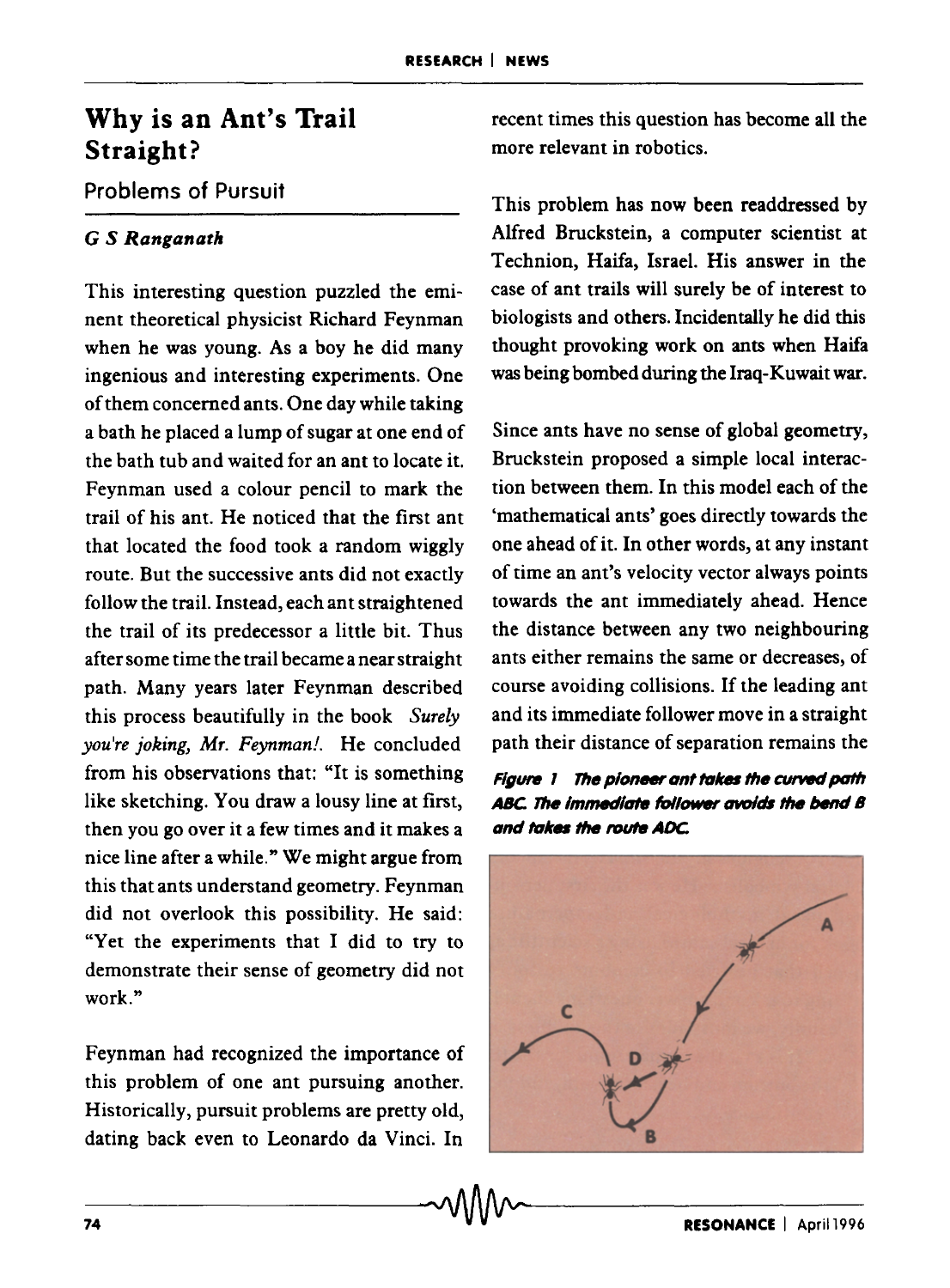## **Why is an Ant's Trail Straight?**

## Problems of Pursuit

### *G S Ranganath*

This interesting question puzzled the eminent theoretical physicist Richard Feynman when he was young. As a boy he did many ingenious and interesting experiments. One of them concerned ants. One day while taking a bath he placed a lump of sugar at one end of the bath tub and waited for an ant to locate it. Feynman used a colour pencil to mark the trail of his ant. He noticed that the first ant that located the food took a random wiggly route. But the successive ants did not exactly follow the trail. Instead, each ant straightened the trail of its predecessor a little bit. Thus after some time the trail became a near straight path. Many years later Feynman described this process beautifully in the book *Surely you're joking, Mr. Feynman!.* He concluded from his observations that: "It is something like sketching. You draw a lousy line at first, then you go over it a few times and it makes a nice line after a while." We might argue from this that ants understand geometry. Feynman did not overlook this possibility. He said: "Yet the experiments that I did to try to demonstrate their sense of geometry did not work."

Feynman had recognized the importance of this problem of one ant pursuing another. Historically, pursuit problems are pretty old, dating back even to Leonardo da Vinci. In

recent times this question has become all the more relevant in robotics.

This problem has now been readdressed by Alfred Bruckstein, a computer scientist at Technion, Haifa, Israel. His answer in the case of ant trails will surely be of interest to biologists and others. Incidentally he did this thought provoking work on ants when Haifa was being bombed during the Iraq-Kuwait war.

Since ants have no sense of global geometry, Bruckstein proposed a simple local interaction between them. In this model each of the 'mathematical ants' goes directly towards the one ahead of it. In other words, at any instant of time an ant's velocity vector always points towards the ant immediately ahead. Hence the distance between any two neighbouring ants either remains the same or decreases, of course avoiding collisions. If the leading ant and its immediate follower move in a straight path their distance of separation remains the



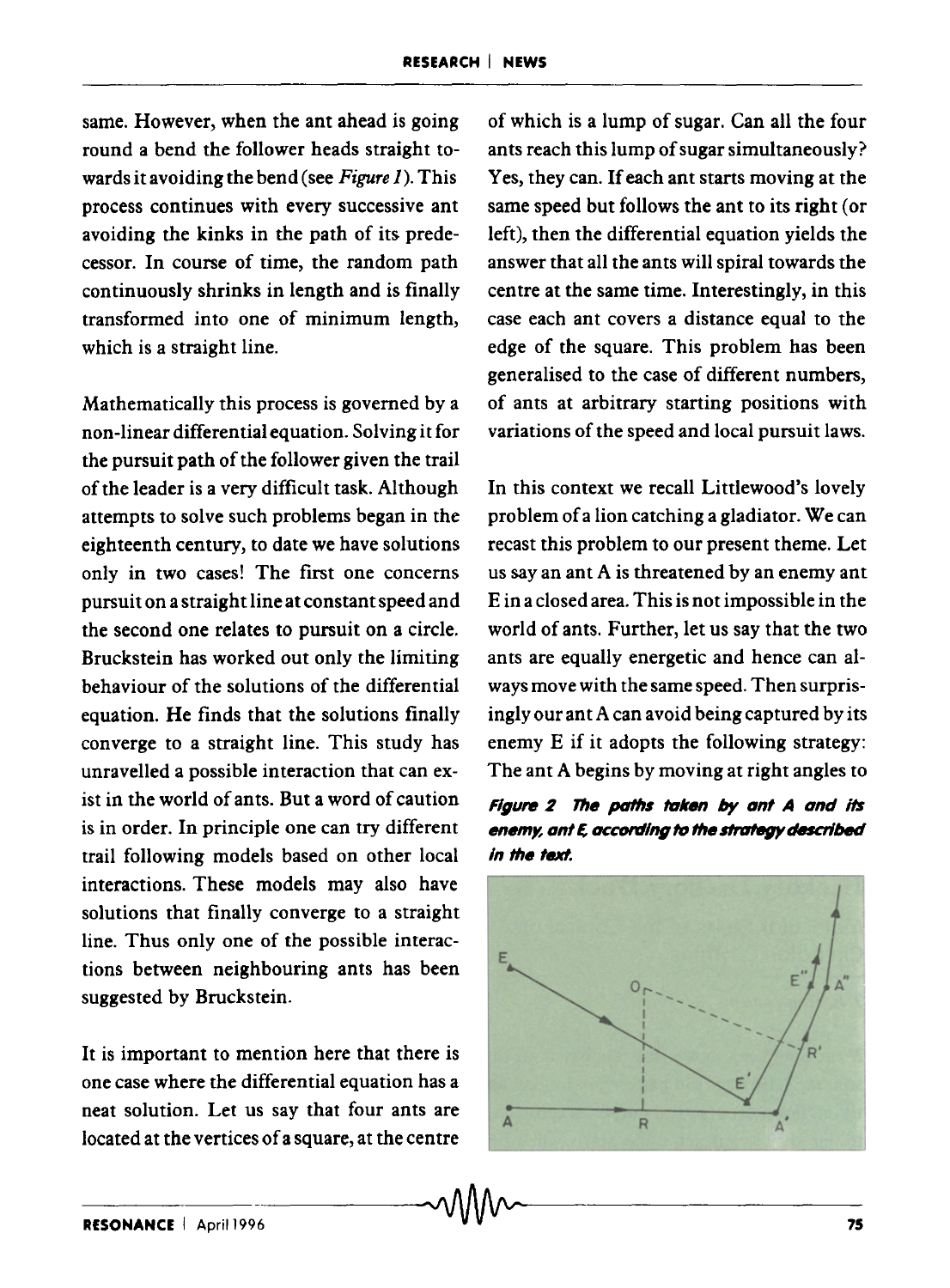same. However, when the ant ahead is going round a bend the follower heads straight towards it avoiding the bend (see *Figure 1).* This process continues with every successive ant avoiding the kinks in the path of its predecessor. In course of time, the random path continuously shrinks in length and is finally transformed into one of minimum length, which is a straight line.

Mathematically this process is governed by a non-linear differential equation. Solving it for the pursuit path of the follower given the trail of the leader is a very difficult task. Although attempts to solve such problems began in the eighteenth century, to date we have solutions only in two cases! The first one concerns pursuit on a straight line at constant speed and the second one relates to pursuit on a circle. Bruckstein has worked out only the limiting behaviour of the solutions of the differential equation. He finds that the solutions finally converge to a straight line. This study has unravelled a possible interaction that can exist in the world of ants. But a word of caution is in order. In principle one can try different trail following models based on other local interactions. These models may also have solutions that finally converge to a straight line. Thus only one of the possible interactions between neighbouring ants has been suggested by Bruckstein.

It is important to mention here that there is one case where the differential equation has a neat solution. Let us say that four ants are located at the vertices of a square, at the centre of which is a lump of sugar. Can all the four ants reach this lump of sugar simultaneously? Yes, they can. If each ant starts moving at the same speed but follows the ant to its right (or left), then the differential equation yields the answer that all the ants will spiral towards the centre at the same time. Interestingly, in this case each ant covers a distance equal to the edge of the square. This problem has been generalised to the case of different numbers, of ants at arbitrary starting positions with variations of the speed and local pursuit laws.

In this context we recall Littlewood's lovely problem of a lion catching a gladiator. We can recast this problem to our present theme. Let us say an ant A is threatened by an enemy ant E in a closed area. This is not impossible in the world of ants. Further, let us say that the two ants are equally energetic and hence can always move with the same speed. Then surprisingly our ant A can avoid being captured by its enemy E if it adopts the following strategy: The ant A begins by moving at right angles to